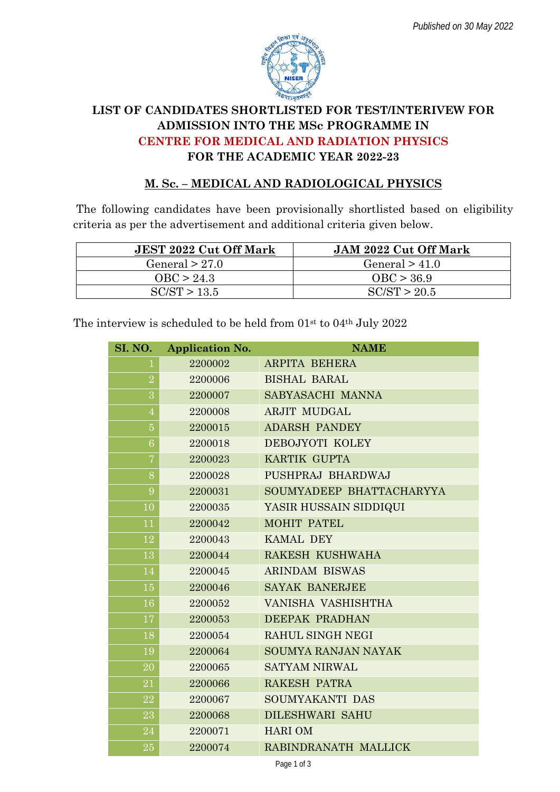

## **LIST OF CANDIDATES SHORTLISTED FOR TEST/INTERIVEW FOR ADMISSION INTO THE MSc PROGRAMME IN CENTRE FOR MEDICAL AND RADIATION PHYSICS FOR THE ACADEMIC YEAR 2022-23**

## **M. Sc. – MEDICAL AND RADIOLOGICAL PHYSICS**

The following candidates have been provisionally shortlisted based on eligibility criteria as per the advertisement and additional criteria given below.

| <b>JEST 2022 Cut Off Mark</b> | <b>JAM 2022 Cut Off Mark</b> |
|-------------------------------|------------------------------|
| General $> 27.0$              | General $> 41.0$             |
| OBC > 24.3                    | OBC > 36.9                   |
| SC/ST > 13.5                  | $\mathrm{SC/ST}$ > 20.5      |

The interview is scheduled to be held from 01s<sup>t</sup> to 04th July 2022

| SI. NO.        | <b>Application No.</b> | <b>NAME</b>                |
|----------------|------------------------|----------------------------|
| 1              | 2200002                | <b>ARPITA BEHERA</b>       |
| $\sqrt{2}$     | 2200006                | <b>BISHAL BARAL</b>        |
| 3              | 2200007                | SABYASACHI MANNA           |
| $\overline{4}$ | 2200008                | <b>ARJIT MUDGAL</b>        |
| $\bf 5$        | 2200015                | <b>ADARSH PANDEY</b>       |
| $\overline{6}$ | 2200018                | DEBOJYOTI KOLEY            |
| $\overline{7}$ | 2200023                | KARTIK GUPTA               |
| 8              | 2200028                | PUSHPRAJ BHARDWAJ          |
| 9              | 2200031                | SOUMYADEEP BHATTACHARYYA   |
| 10             | 2200035                | YASIR HUSSAIN SIDDIQUI     |
| 11             | 2200042                | <b>MOHIT PATEL</b>         |
| 12             | 2200043                | <b>KAMAL DEY</b>           |
| 13             | 2200044                | RAKESH KUSHWAHA            |
| 14             | 2200045                | <b>ARINDAM BISWAS</b>      |
| 15             | 2200046                | <b>SAYAK BANERJEE</b>      |
| 16             | 2200052                | VANISHA VASHISHTHA         |
| 17             | 2200053                | <b>DEEPAK PRADHAN</b>      |
| 18             | 2200054                | RAHUL SINGH NEGI           |
| 19             | 2200064                | <b>SOUMYA RANJAN NAYAK</b> |
| 20             | 2200065                | <b>SATYAM NIRWAL</b>       |
| 21             | 2200066                | RAKESH PATRA               |
| 22             | 2200067                | SOUMYAKANTI DAS            |
| 23             | 2200068                | <b>DILESHWARI SAHU</b>     |
| 24             | 2200071                | <b>HARIOM</b>              |
| 25             | 2200074                | RABINDRANATH MALLICK       |
|                |                        |                            |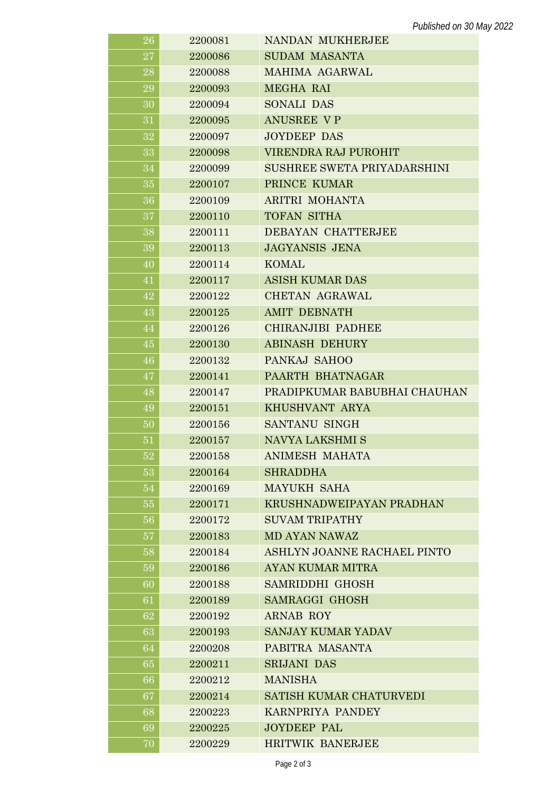| 26     | 2200081 | <b>NANDAN MUKHERJEE</b>        |
|--------|---------|--------------------------------|
| 27     | 2200086 | <b>SUDAM MASANTA</b>           |
| 28     | 2200088 | MAHIMA AGARWAL                 |
| 29     | 2200093 | <b>MEGHA RAI</b>               |
| 30     | 2200094 | <b>SONALI DAS</b>              |
| 31     | 2200095 | <b>ANUSREE VP</b>              |
| 32     | 2200097 | <b>JOYDEEP DAS</b>             |
| 33     | 2200098 | VIRENDRA RAJ PUROHIT           |
| 34     | 2200099 | SUSHREE SWETA PRIYADARSHINI    |
| 35     | 2200107 | PRINCE KUMAR                   |
| 36     | 2200109 | ARITRI MOHANTA                 |
| 37     | 2200110 | <b>TOFAN SITHA</b>             |
| 38     | 2200111 | DEBAYAN CHATTERJEE             |
| 39     | 2200113 | <b>JAGYANSIS JENA</b>          |
| 40     | 2200114 | <b>KOMAL</b>                   |
| 41     | 2200117 | <b>ASISH KUMAR DAS</b>         |
| 42     | 2200122 | CHETAN AGRAWAL                 |
| 43     | 2200125 | <b>AMIT DEBNATH</b>            |
| 44     | 2200126 | CHIRANJIBI PADHEE              |
| 45     | 2200130 | <b>ABINASH DEHURY</b>          |
| 46     | 2200132 | PANKAJ SAHOO                   |
| 47     | 2200141 | PAARTH BHATNAGAR               |
| 48     | 2200147 | PRADIPKUMAR BABUBHAI CHAUHAN   |
| 49     | 2200151 | KHUSHVANT ARYA                 |
| 50     | 2200156 | SANTANU SINGH                  |
| 51     | 2200157 | NAVYA LAKSHMI S                |
| $52\,$ | 2200158 | <b>ANIMESH MAHATA</b>          |
| 53     | 2200164 | <b>SHRADDHA</b>                |
| 54     | 2200169 | <b>MAYUKH SAHA</b>             |
| 55     | 2200171 | KRUSHNADWEIPAYAN PRADHAN       |
| 56     | 2200172 | <b>SUVAM TRIPATHY</b>          |
| 57     | 2200183 | <b>MD AYAN NAWAZ</b>           |
| 58     | 2200184 | ASHLYN JOANNE RACHAEL PINTO    |
| 59     | 2200186 | <b>AYAN KUMAR MITRA</b>        |
| 60     | 2200188 | <b>SAMRIDDHI GHOSH</b>         |
| 61     | 2200189 | <b>SAMRAGGI GHOSH</b>          |
| 62     | 2200192 | <b>ARNAB ROY</b>               |
| 63     | 2200193 | <b>SANJAY KUMAR YADAV</b>      |
| 64     | 2200208 | PABITRA MASANTA                |
| 65     | 2200211 | <b>SRIJANI DAS</b>             |
| 66     | 2200212 | <b>MANISHA</b>                 |
| 67     | 2200214 | <b>SATISH KUMAR CHATURVEDI</b> |
| 68     | 2200223 | KARNPRIYA PANDEY               |
| 69     | 2200225 | <b>JOYDEEP PAL</b>             |
| 70     | 2200229 | <b>HRITWIK BANERJEE</b>        |